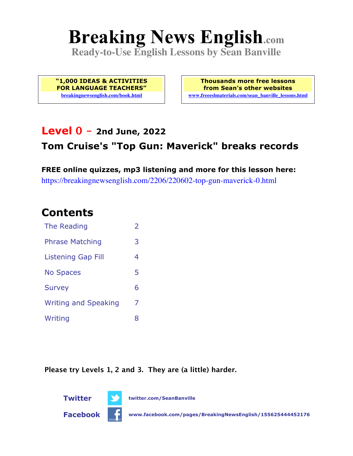# **Breaking News English.com**

**Ready-to-Use English Lessons by Sean Banville**

**"1,000 IDEAS & ACTIVITIES FOR LANGUAGE TEACHERS" breakingnewsenglish.com/book.html**

**Thousands more free lessons from Sean's other websites www.freeeslmaterials.com/sean\_banville\_lessons.html**

### **Level 0 - 2nd June, 2022**

### **Tom Cruise's "Top Gun: Maverick" breaks records**

**FREE online quizzes, mp3 listening and more for this lesson here:** https://breakingnewsenglish.com/2206/220602-top-gun-maverick-0.html

### **Contents**

| The Reading                 | $\overline{\phantom{a}}$ |
|-----------------------------|--------------------------|
| <b>Phrase Matching</b>      | 3                        |
| <b>Listening Gap Fill</b>   | 4                        |
| <b>No Spaces</b>            | 5                        |
| <b>Survey</b>               | 6                        |
| <b>Writing and Speaking</b> | 7                        |
| Writing                     | 8                        |

**Please try Levels 1, 2 and 3. They are (a little) harder.**



**Facebook www.facebook.com/pages/BreakingNewsEnglish/155625444452176**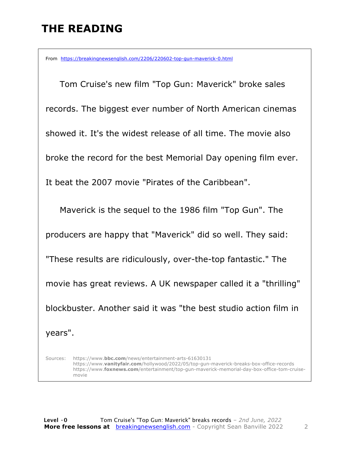# **THE READING**

From https://breakingnewsenglish.com/2206/220602-top-gun-maverick-0.html

 Tom Cruise's new film "Top Gun: Maverick" broke sales records. The biggest ever number of North American cinemas showed it. It's the widest release of all time. The movie also broke the record for the best Memorial Day opening film ever. It beat the 2007 movie "Pirates of the Caribbean".

 Maverick is the sequel to the 1986 film "Top Gun". The producers are happy that "Maverick" did so well. They said: "These results are ridiculously, over-the-top fantastic." The movie has great reviews. A UK newspaper called it a "thrilling" blockbuster. Another said it was "the best studio action film in years".

Sources: https://www.**bbc.com**/news/entertainment-arts-61630131 https://www.**vanityfair.com**/hollywood/2022/05/top-gun-maverick-breaks-box-office-records https://www.**foxnews.com**/entertainment/top-gun-maverick-memorial-day-box-office-tom-cruisemovie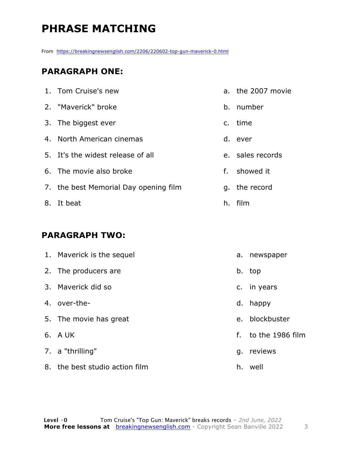# **PHRASE MATCHING**

From https://breakingnewsenglish.com/2206/220602-top-gun-maverick-0.html

#### **PARAGRAPH ONE:**

| 1. Tom Cruise's new                   | a. the 2007 movie |
|---------------------------------------|-------------------|
| 2. "Maverick" broke                   | b. number         |
| 3. The biggest ever                   | c. time           |
| 4. North American cinemas             | d. ever           |
| 5. It's the widest release of all     | e. sales records  |
| 6. The movie also broke               | f. showed it      |
| 7. the best Memorial Day opening film | q. the record     |
| 8. It beat                            | h. film           |

#### **PARAGRAPH TWO:**

| 1. Maverick is the sequel      | а. | newspaper        |
|--------------------------------|----|------------------|
| 2. The producers are           | b. | top              |
| 3. Mayerick did so             |    | c. in years      |
| 4. over-the-                   | d. | happy            |
| 5. The movie has great         | e. | blockbuster      |
| 6. A UK                        | f. | to the 1986 film |
| 7. a "thrilling"               | q. | reviews          |
| 8. the best studio action film | h. | well             |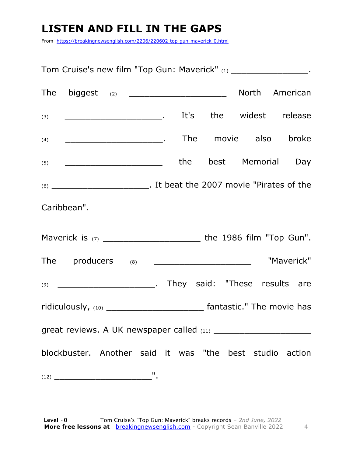# **LISTEN AND FILL IN THE GAPS**

From https://breakingnewsenglish.com/2206/220602-top-gun-maverick-0.html

Tom Cruise's new film "Top Gun: Maverick" (1) Tom Cruise's new film "Top Gun: Maverick" (1) The biggest  $_{(2)}$  and  $\blacksquare$  North American (3) \_\_\_\_\_\_\_\_\_\_\_\_\_\_\_\_\_\_\_. It's the widest release (4) \_\_\_\_\_\_\_\_\_\_\_\_\_\_\_\_\_\_\_. The movie also broke (5) \_\_\_\_\_\_\_\_\_\_\_\_\_\_\_\_\_\_\_\_\_\_\_\_\_\_\_\_\_\_\_the best Memorial Day (6) \_\_\_\_\_\_\_\_\_\_\_\_\_\_\_\_\_\_\_. It beat the 2007 movie "Pirates of the Caribbean". Maverick is (7) \_\_\_\_\_\_\_\_\_\_\_\_\_\_\_\_\_\_\_ the 1986 film "Top Gun". The producers (8) \_\_\_\_\_\_\_\_\_\_\_\_\_\_\_\_\_\_\_\_\_\_\_ "Maverick" (9) \_\_\_\_\_\_\_\_\_\_\_\_\_\_\_\_\_\_\_. They said: "These results are ridiculously, (10) \_\_\_\_\_\_\_\_\_\_\_\_\_\_\_\_\_\_\_\_\_\_\_\_\_\_\_\_\_\_\_\_ fantastic." The movie has great reviews. A UK newspaper called (11) \_\_\_\_\_\_\_\_\_\_\_\_\_\_\_\_\_\_\_ blockbuster. Another said it was "the best studio action (12) \_\_\_\_\_\_\_\_\_\_\_\_\_\_\_\_\_\_\_".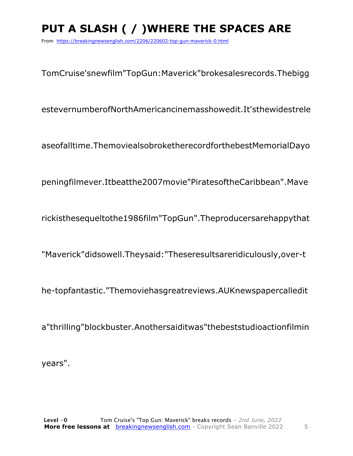# PUT A SLASH ( / ) WHERE THE SPACES ARE

From https://breakingnewsenglish.com/2206/220602-top-gun-maverick-0.html

TomCruise'snewfilm"TopGun:Maverick"brokesalesrecords.Thebigg

estevernumberofNorthAmericancinemasshowedit.It'sthewidestrele

aseofalltime.ThemoviealsobroketherecordforthebestMemorialDayo

peningfilmever.Itbeatthe2007movie"PiratesoftheCaribbean".Mave

rickisthesequeltothe1986film"TopGun".Theproducersarehappythat

"Maverick"didsowell.Theysaid: "Theseresultsareridiculously, over-t

he-topfantastic."Themoviehasgreatreviews.AUKnewspapercalledit

a"thrilling"blockbuster.Anothersaiditwas"thebeststudioactionfilmin

years".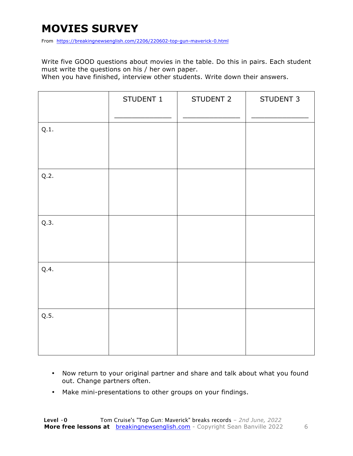# **MOVIES SURVEY**

From https://breakingnewsenglish.com/2206/220602-top-gun-maverick-0.html

Write five GOOD questions about movies in the table. Do this in pairs. Each student must write the questions on his / her own paper.

When you have finished, interview other students. Write down their answers.

|      | STUDENT 1 | STUDENT 2 | STUDENT 3 |
|------|-----------|-----------|-----------|
| Q.1. |           |           |           |
| Q.2. |           |           |           |
| Q.3. |           |           |           |
| Q.4. |           |           |           |
| Q.5. |           |           |           |

- Now return to your original partner and share and talk about what you found out. Change partners often.
- Make mini-presentations to other groups on your findings.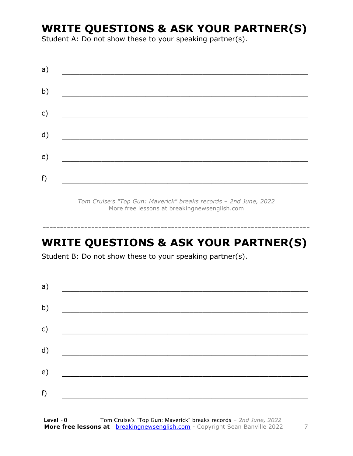# **WRITE QUESTIONS & ASK YOUR PARTNER(S)**

Student A: Do not show these to your speaking partner(s).

| a) |  |  |
|----|--|--|
| b) |  |  |
| c) |  |  |
| d) |  |  |
| e) |  |  |
| f) |  |  |
|    |  |  |

*Tom Cruise's "Top Gun: Maverick" breaks records – 2nd June, 2022* More free lessons at breakingnewsenglish.com

### **WRITE QUESTIONS & ASK YOUR PARTNER(S)**

-----------------------------------------------------------------------------

Student B: Do not show these to your speaking partner(s).

| a) |  |  |
|----|--|--|
| b) |  |  |
| c) |  |  |
| d) |  |  |
| e) |  |  |
| f) |  |  |
|    |  |  |